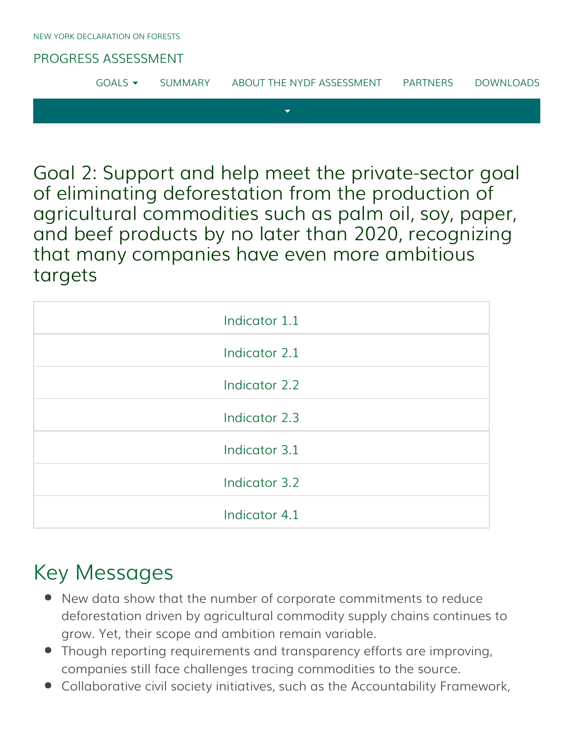#### [PROGRESS ASSESSMENT](http://www.forestdeclaration.org/)

| $GOALS$ $\rightarrow$ | <b>SUMMARY</b> | ABOUT THE NYDF ASSESSMENT | PARTNERS | DOWNLOADS |
|-----------------------|----------------|---------------------------|----------|-----------|
|                       |                |                           |          |           |

Goal 2: Support and help meet the private-sector goal of eliminating deforestation from the production of agricultural commodities such as palm oil, soy, paper, and beef products by no later than 2020, recognizing that many companies have even more ambitious targets

| Indicator 1.1 |
|---------------|
| Indicator 2.1 |
| Indicator 2.2 |
| Indicator 2.3 |
| Indicator 3.1 |
| Indicator 3.2 |
| Indicator 4.1 |

## Key Messages

- New data show that the number of corporate commitments to reduce deforestation driven by agricultural commodity supply chains continues to grow. Yet, their scope and ambition remain variable.
- Though reporting requirements and transparency efforts are improving, companies still face challenges tracing commodities to the source.
- Collaborative civil society initiatives, such as the Accountability Framework,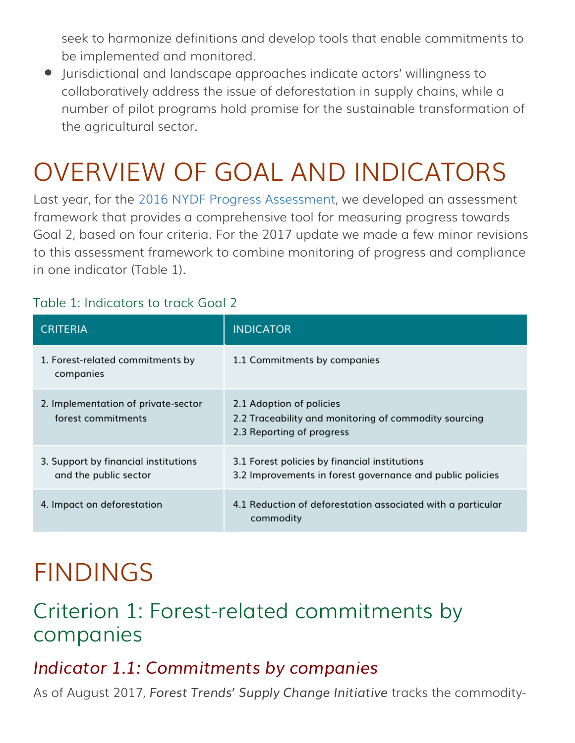seek to harmonize definitions and develop tools that enable commitments to be implemented and monitored.

Jurisdictional and landscape approaches indicate actors' willingness to collaboratively address the issue of deforestation in supply chains, while a number of pilot programs hold promise for the sustainable transformation of the agricultural sector.

# OVERVIEW OF GOAL AND INDICATORS

Last year, for the [2016 NYDF Progress Assessment](http://forestdeclaration.org/wp-content/uploads/2015/09/2016-NYDF-Goal-2-Assessment-Report1.pdf), we developed an assessment framework that provides a comprehensive tool for measuring progress towards Goal 2, based on four criteria. For the 2017 update we made a few minor revisions to this assessment framework to combine monitoring of progress and compliance in one indicator (Table 1).

#### Table 1: Indicators to track Goal 2

| <b>CRITERIA</b>                                               | <b>INDICATOR</b>                                                                                               |
|---------------------------------------------------------------|----------------------------------------------------------------------------------------------------------------|
| 1. Forest-related commitments by<br>companies                 | 1.1 Commitments by companies                                                                                   |
| 2. Implementation of private-sector<br>forest commitments     | 2.1 Adoption of policies<br>2.2 Traceability and monitoring of commodity sourcing<br>2.3 Reporting of progress |
| 3. Support by financial institutions<br>and the public sector | 3.1 Forest policies by financial institutions<br>3.2 Improvements in forest governance and public policies     |
| 4. Impact on deforestation                                    | 4.1 Reduction of deforestation associated with a particular<br>commodity                                       |

# FINDINGS

## Criterion 1: Forest-related commitments by companies

### <span id="page-1-0"></span>*Indicator 1.1: Commitments by companies*

As of August 2017, *Forest Trends' Supply Change Initiative* tracks the commodity-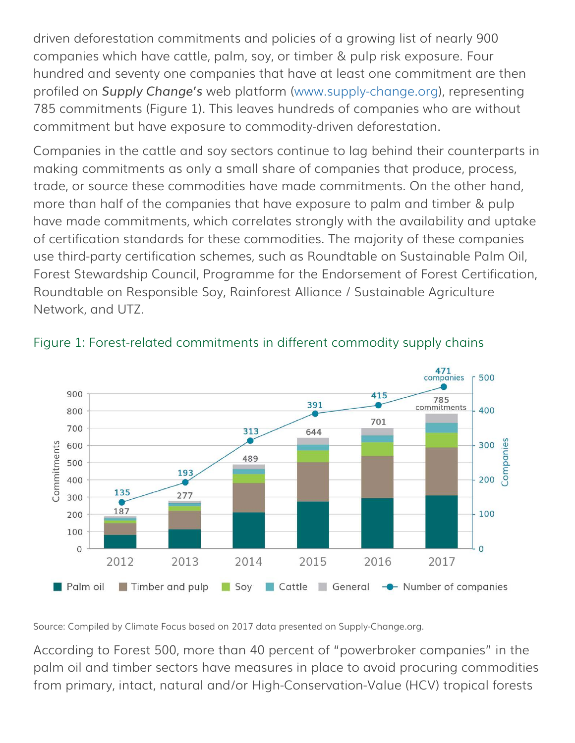driven deforestation commitments and policies of a growing list of nearly 900 companies which have cattle, palm, soy, or timber & pulp risk exposure. Four hundred and seventy one companies that have at least one commitment are then profiled on *Supply Change's* web platform [\(www.supply-change.org](http://www.supply-change.org/)), representing 785 commitments (Figure 1). This leaves hundreds of companies who are without commitment but have exposure to commodity-driven deforestation.

Companies in the cattle and soy sectors continue to lag behind their counterparts in making commitments as only a small share of companies that produce, process, trade, or source these commodities have made commitments. On the other hand, more than half of the companies that have exposure to palm and timber & pulp have made commitments, which correlates strongly with the availability and uptake of certification standards for these commodities. The majority of these companies use third-party certification schemes, such as Roundtable on Sustainable Palm Oil, Forest Stewardship Council, Programme for the Endorsement of Forest Certification, Roundtable on Responsible Soy, Rainforest Alliance / Sustainable Agriculture Network, and UTZ.



#### Figure 1: Forest-related commitments in different commodity supply chains

Source: Compiled by Climate Focus based on 2017 data presented on Supply-Change.org.

According to Forest 500, more than 40 percent of "powerbroker companies" in the palm oil and timber sectors have measures in place to avoid procuring commodities from primary, intact, natural and/or High-Conservation-Value (HCV) tropical forests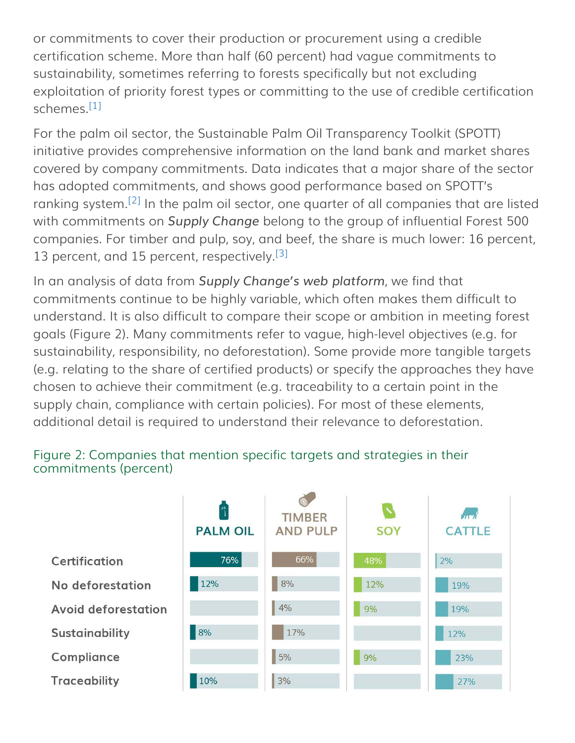or commitments to cover their production or procurement using a credible certification scheme. More than half (60 percent) had vague commitments to sustainability, sometimes referring to forests specifically but not excluding exploitation of priority forest types or committing to the use of credible certification schemes.<sup>[\[1\]](#page-11-0)</sup>

<span id="page-3-1"></span><span id="page-3-0"></span>For the palm oil sector, the Sustainable Palm Oil Transparency Toolkit (SPOTT) initiative provides comprehensive information on the land bank and market shares covered by company commitments. Data indicates that a major share of the sector has adopted commitments, and shows good performance based on SPOTT's ranking system.<sup>[\[2\]](#page-11-1)</sup> In the palm oil sector, one quarter of all companies that are listed with commitments on *Supply Change* belong to the group of influential Forest 500 companies. For timber and pulp, soy, and beef, the share is much lower: 16 percent, 13 percent, and 15 percent, respectively.<sup>[\[3\]](#page-11-2)</sup>

<span id="page-3-2"></span>In an analysis of data from *Supply Change's web platform*, we find that commitments continue to be highly variable, which often makes them difficult to understand. It is also difficult to compare their scope or ambition in meeting forest goals (Figure 2). Many commitments refer to vague, high-level objectives (e.g. for sustainability, responsibility, no deforestation). Some provide more tangible targets (e.g. relating to the share of certified products) or specify the approaches they have chosen to achieve their commitment (e.g. traceability to a certain point in the supply chain, compliance with certain policies). For most of these elements, additional detail is required to understand their relevance to deforestation.



#### Figure 2: Companies that mention specific targets and strategies in their commitments (percent)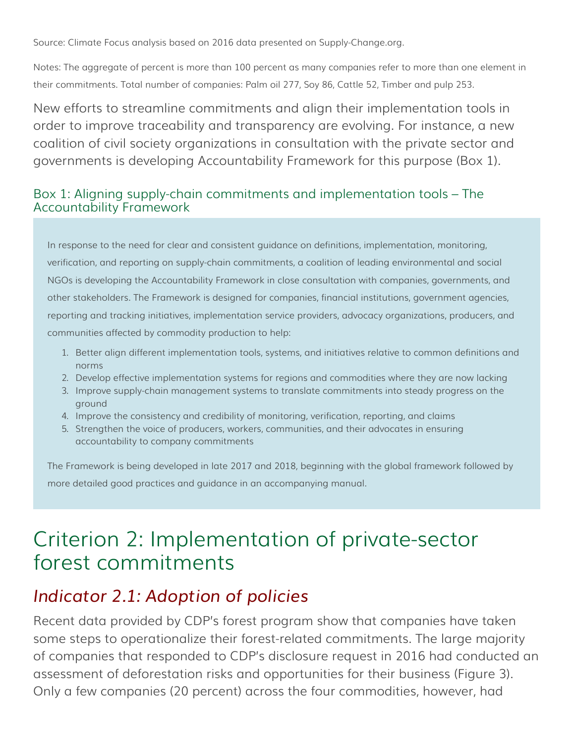Source: Climate Focus analysis based on 2016 data presented on Supply-Change.org.

Notes: The aggregate of percent is more than 100 percent as many companies refer to more than one element in their commitments. Total number of companies: Palm oil 277, Soy 86, Cattle 52, Timber and pulp 253.

New efforts to streamline commitments and align their implementation tools in order to improve traceability and transparency are evolving. For instance, a new coalition of civil society organizations in consultation with the private sector and governments is developing Accountability Framework for this purpose (Box 1).

#### Box 1: Aligning supply-chain commitments and implementation tools – The Accountability Framework

In response to the need for clear and consistent guidance on definitions, implementation, monitoring, verification, and reporting on supply-chain commitments, a coalition of leading environmental and social NGOs is developing the Accountability Framework in close consultation with companies, governments, and other stakeholders. The Framework is designed for companies, financial institutions, government agencies, reporting and tracking initiatives, implementation service providers, advocacy organizations, producers, and communities affected by commodity production to help:

- 1. Better align different implementation tools, systems, and initiatives relative to common definitions and norms
- 2. Develop effective implementation systems for regions and commodities where they are now lacking
- 3. Improve supply-chain management systems to translate commitments into steady progress on the ground
- 4. Improve the consistency and credibility of monitoring, verification, reporting, and claims
- 5. Strengthen the voice of producers, workers, communities, and their advocates in ensuring accountability to company commitments

The Framework is being developed in late 2017 and 2018, beginning with the global framework followed by more detailed good practices and guidance in an accompanying manual.

## Criterion 2: Implementation of private-sector forest commitments

### <span id="page-4-0"></span>*Indicator 2.1: Adoption of policies*

Recent data provided by CDP's forest program show that companies have taken some steps to operationalize their forest-related commitments. The large majority of companies that responded to CDP's disclosure request in 2016 had conducted an assessment of deforestation risks and opportunities for their business (Figure 3). Only a few companies (20 percent) across the four commodities, however, had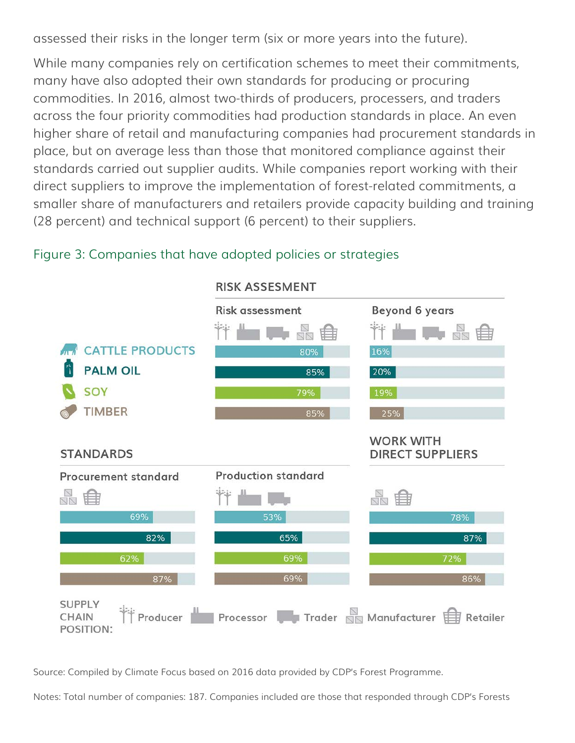assessed their risks in the longer term (six or more years into the future).

While many companies rely on certification schemes to meet their commitments, many have also adopted their own standards for producing or procuring commodities. In 2016, almost two-thirds of producers, processers, and traders across the four priority commodities had production standards in place. An even higher share of retail and manufacturing companies had procurement standards in place, but on average less than those that monitored compliance against their standards carried out supplier audits. While companies report working with their direct suppliers to improve the implementation of forest-related commitments, a smaller share of manufacturers and retailers provide capacity building and training (28 percent) and technical support (6 percent) to their suppliers.



#### Figure 3: Companies that have adopted policies or strategies

Source: Compiled by Climate Focus based on 2016 data provided by CDP's Forest Programme.

Notes: Total number of companies: 187. Companies included are those that responded through CDP's Forests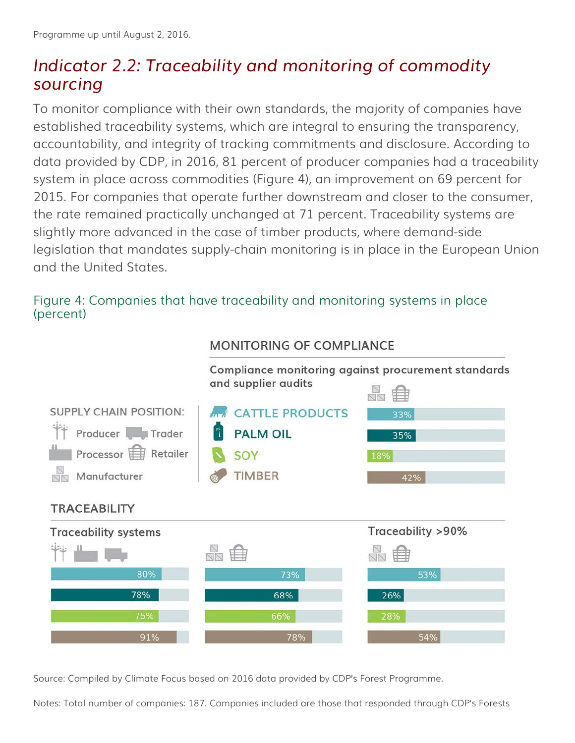### <span id="page-6-0"></span>*Indicator 2.2: Traceability and monitoring of commodity sourcing*

To monitor compliance with their own standards, the majority of companies have established traceability systems, which are integral to ensuring the transparency, accountability, and integrity of tracking commitments and disclosure. According to data provided by CDP, in 2016, 81 percent of producer companies had a traceability system in place across commodities (Figure 4), an improvement on 69 percent for 2015. For companies that operate further downstream and closer to the consumer, the rate remained practically unchanged at 71 percent. Traceability systems are slightly more advanced in the case of timber products, where demand-side legislation that mandates supply-chain monitoring is in place in the European Union and the United States.

#### Figure 4: Companies that have traceability and monitoring systems in place (percent)



#### MONITORING OF COMPLIANCE

Source: Compiled by Climate Focus based on 2016 data provided by CDP's Forest Programme.

Notes: Total number of companies: 187. Companies included are those that responded through CDP's Forests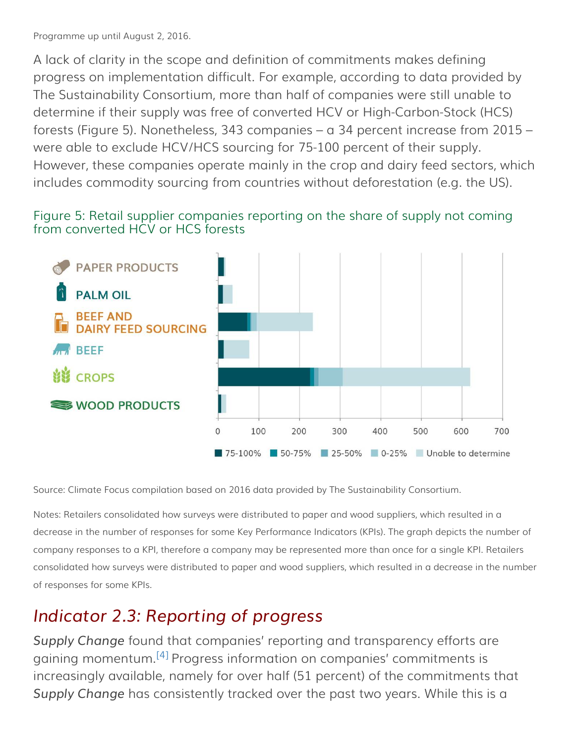Programme up until August 2, 2016.

A lack of clarity in the scope and definition of commitments makes defining progress on implementation difficult. For example, according to data provided by The Sustainability Consortium, more than half of companies were still unable to determine if their supply was free of converted HCV or High-Carbon-Stock (HCS) forests (Figure 5). Nonetheless, 343 companies – a 34 percent increase from 2015 – were able to exclude HCV/HCS sourcing for 75-100 percent of their supply. However, these companies operate mainly in the crop and dairy feed sectors, which includes commodity sourcing from countries without deforestation (e.g. the US).

#### Figure 5: Retail supplier companies reporting on the share of supply not coming from converted HCV or HCS forests



Source: Climate Focus compilation based on 2016 data provided by The Sustainability Consortium.

Notes: Retailers consolidated how surveys were distributed to paper and wood suppliers, which resulted in a decrease in the number of responses for some Key Performance Indicators (KPIs). The graph depicts the number of company responses to a KPI, therefore a company may be represented more than once for a single KPI. Retailers consolidated how surveys were distributed to paper and wood suppliers, which resulted in a decrease in the number of responses for some KPIs.

## <span id="page-7-0"></span>*Indicator 2.3: Reporting of progress*

<span id="page-7-1"></span>*Supply Change* found that companies' reporting and transparency efforts are gaining momentum.<sup>[\[4\]](#page-11-3)</sup> Progress information on companies' commitments is increasingly available, namely for over half (51 percent) of the commitments that *Supply Change* has consistently tracked over the past two years. While this is a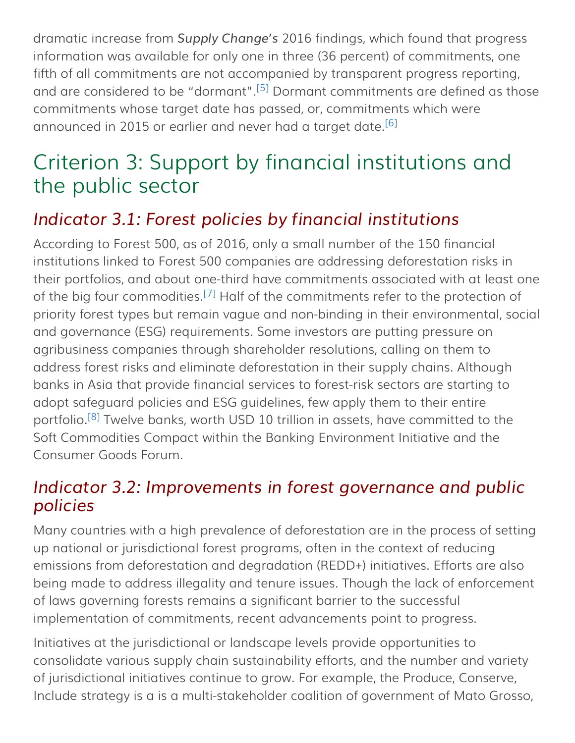<span id="page-8-2"></span>dramatic increase from *Supply Change's* 2016 findings, which found that progress information was available for only one in three (36 percent) of commitments, one fifth of all commitments are not accompanied by transparent progress reporting, and are considered to be "dormant".<sup>[\[5\]](#page-11-4)</sup> Dormant commitments are defined as those commitments whose target date has passed, or, commitments which were announced in 2015 or earlier and never had a target date.<sup>[\[6\]](#page-11-5)</sup>

## <span id="page-8-3"></span>Criterion 3: Support by financial institutions and the public sector

## <span id="page-8-0"></span>*Indicator 3.1: Forest policies by financial institutions*

<span id="page-8-4"></span>According to Forest 500, as of 2016, only a small number of the 150 financial institutions linked to Forest 500 companies are addressing deforestation risks in their portfolios, and about one-third have commitments associated with at least one of the big four commodities.<sup>[\[7\]](#page-11-6)</sup> Half of the commitments refer to the protection of priority forest types but remain vague and non-binding in their environmental, social and governance (ESG) requirements. Some investors are putting pressure on agribusiness companies through shareholder resolutions, calling on them to address forest risks and eliminate deforestation in their supply chains. Although banks in Asia that provide financial services to forest-risk sectors are starting to adopt safeguard policies and ESG guidelines, few apply them to their entire portfolio.<sup>[\[8\]](#page-11-7)</sup> Twelve banks, worth USD 10 trillion in assets, have committed to the Soft Commodities Compact within the Banking Environment Initiative and the Consumer Goods Forum.

### <span id="page-8-5"></span><span id="page-8-1"></span>*Indicator 3.2: Improvements in forest governance and public policies*

Many countries with a high prevalence of deforestation are in the process of setting up national or jurisdictional forest programs, often in the context of reducing emissions from deforestation and degradation (REDD+) initiatives. Efforts are also being made to address illegality and tenure issues. Though the lack of enforcement of laws governing forests remains a significant barrier to the successful implementation of commitments, recent advancements point to progress.

Initiatives at the jurisdictional or landscape levels provide opportunities to consolidate various supply chain sustainability efforts, and the number and variety of jurisdictional initiatives continue to grow. For example, the Produce, Conserve, Include strategy is a is a multi-stakeholder coalition of government of Mato Grosso,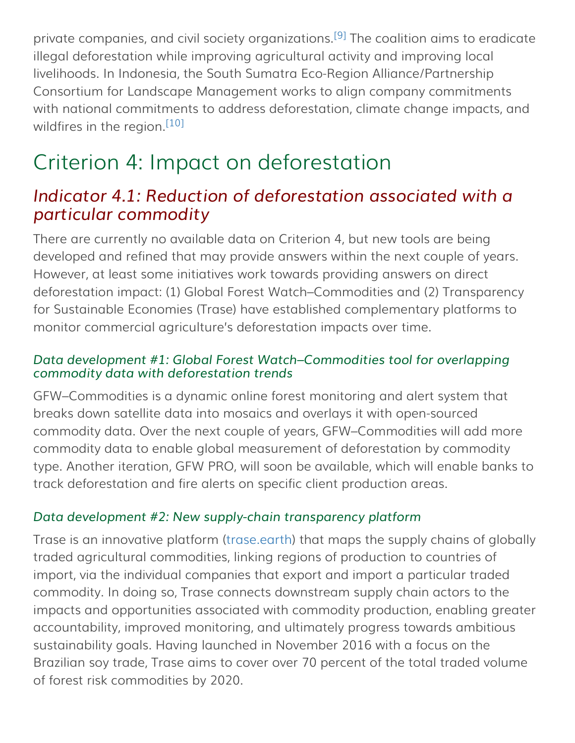<span id="page-9-1"></span>private companies, and civil society organizations.<sup>[\[9\]](#page-11-8)</sup> The coalition aims to eradicate illegal deforestation while improving agricultural activity and improving local livelihoods. In Indonesia, the South Sumatra Eco-Region Alliance/Partnership Consortium for Landscape Management works to align company commitments with national commitments to address deforestation, climate change impacts, and wildfires in the region. [\[10\]](#page-11-9)

## <span id="page-9-2"></span>Criterion 4: Impact on deforestation

### <span id="page-9-0"></span>*Indicator 4.1: Reduction of deforestation associated with a particular commodity*

There are currently no available data on Criterion 4, but new tools are being developed and refined that may provide answers within the next couple of years. However, at least some initiatives work towards providing answers on direct deforestation impact: (1) Global Forest Watch–Commodities and (2) Transparency for Sustainable Economies (Trase) have established complementary platforms to monitor commercial agriculture's deforestation impacts over time.

#### *Data development #1: Global Forest Watch–Commodities tool for overlapping commodity data with deforestation trends*

GFW–Commodities is a dynamic online forest monitoring and alert system that breaks down satellite data into mosaics and overlays it with open-sourced commodity data. Over the next couple of years, GFW–Commodities will add more commodity data to enable global measurement of deforestation by commodity type. Another iteration, GFW PRO, will soon be available, which will enable banks to track deforestation and fire alerts on specific client production areas.

#### *Data development #2: New supply-chain transparency platform*

Trase is an innovative platform [\(trase.earth](http://trase.earth/)) that maps the supply chains of globally traded agricultural commodities, linking regions of production to countries of import, via the individual companies that export and import a particular traded commodity. In doing so, Trase connects downstream supply chain actors to the impacts and opportunities associated with commodity production, enabling greater accountability, improved monitoring, and ultimately progress towards ambitious sustainability goals. Having launched in November 2016 with a focus on the Brazilian soy trade, Trase aims to cover over 70 percent of the total traded volume of forest risk commodities by 2020.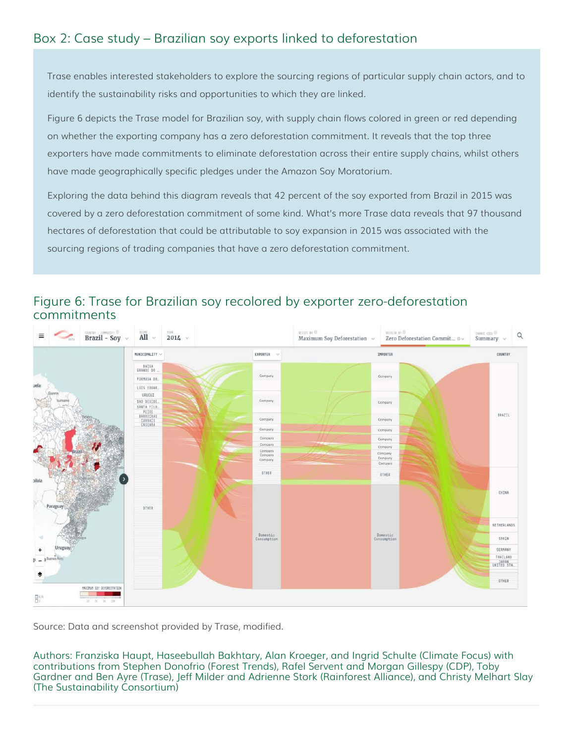#### Box 2: Case study – Brazilian soy exports linked to deforestation

Trase enables interested stakeholders to explore the sourcing regions of particular supply chain actors, and to identify the sustainability risks and opportunities to which they are linked.

Figure 6 depicts the Trase model for Brazilian soy, with supply chain flows colored in green or red depending on whether the exporting company has a zero deforestation commitment. It reveals that the top three exporters have made commitments to eliminate deforestation across their entire supply chains, whilst others have made geographically specific pledges under the Amazon Soy Moratorium.

Exploring the data behind this diagram reveals that 42 percent of the soy exported from Brazil in 2015 was covered by a zero deforestation commitment of some kind. What's more Trase data reveals that 97 thousand hectares of deforestation that could be attributable to soy expansion in 2015 was associated with the sourcing regions of trading companies that have a zero deforestation commitment.

#### $\overline{a}$ **Brazil** - Soy  $All$  $2014 -$ Q Maximum Soy Deforestation Zero Deforestation Commit... 0 Summary MUNICIPALITY EXPORTER **IMPORTER COUNTRY** BAIXA<br>GRANDE DO FORMOSA DO LUIS EDUAR. URUCUI Company SAO DESIDE Company SANTA FILO<br>PEIXE<br>BARREIRAS<br>CURRAIS<br>CASEARA BRAZIL Company Compan Company Company Company OTHER otura CHINA OTHER NETHERLANDS Domestic<br>Innsomnting Domestic SPATH SERMANY THAILAND **INITED STA.** OTHER MAXIMUM SOY DEFORESTATION  $\frac{\Box^{(i)}}{\Box^{(i)}}$

#### Figure 6: Trase for Brazilian soy recolored by exporter zero-deforestation commitments

Source: Data and screenshot provided by Trase, modified.

Authors: Franziska Haupt, Haseebullah Bakhtary, Alan Kroeger, and Ingrid Schulte (Climate Focus) with contributions from Stephen Donofrio (Forest Trends), Rafel Servent and Morgan Gillespy (CDP), Toby Gardner and Ben Ayre (Trase), Jeff Milder and Adrienne Stork (Rainforest Alliance), and Christy Melhart Slay (The Sustainability Consortium)